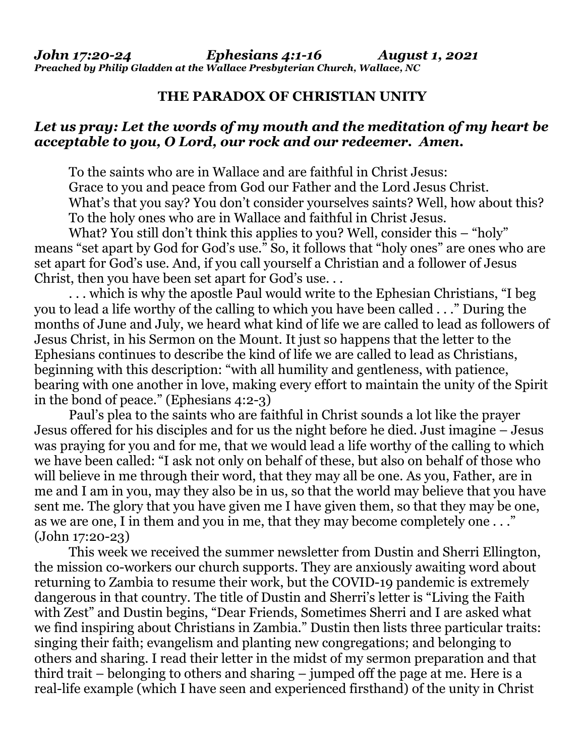## **THE PARADOX OF CHRISTIAN UNITY**

## *Let us pray: Let the words of my mouth and the meditation of my heart be acceptable to you, O Lord, our rock and our redeemer. Amen.*

 To the saints who are in Wallace and are faithful in Christ Jesus: Grace to you and peace from God our Father and the Lord Jesus Christ. What's that you say? You don't consider yourselves saints? Well, how about this? To the holy ones who are in Wallace and faithful in Christ Jesus.

What? You still don't think this applies to you? Well, consider this – "holy" means "set apart by God for God's use." So, it follows that "holy ones" are ones who are set apart for God's use. And, if you call yourself a Christian and a follower of Jesus Christ, then you have been set apart for God's use. . .

 . . . which is why the apostle Paul would write to the Ephesian Christians, "I beg you to lead a life worthy of the calling to which you have been called . . ." During the months of June and July, we heard what kind of life we are called to lead as followers of Jesus Christ, in his Sermon on the Mount. It just so happens that the letter to the Ephesians continues to describe the kind of life we are called to lead as Christians, beginning with this description: "with all humility and gentleness, with patience, bearing with one another in love, making every effort to maintain the unity of the Spirit in the bond of peace." (Ephesians 4:2-3)

 Paul's plea to the saints who are faithful in Christ sounds a lot like the prayer Jesus offered for his disciples and for us the night before he died. Just imagine – Jesus was praying for you and for me, that we would lead a life worthy of the calling to which we have been called: "I ask not only on behalf of these, but also on behalf of those who will believe in me through their word, that they may all be one. As you, Father, are in me and I am in you, may they also be in us, so that the world may believe that you have sent me. The glory that you have given me I have given them, so that they may be one, as we are one, I in them and you in me, that they may become completely one . . ." (John 17:20-23)

 This week we received the summer newsletter from Dustin and Sherri Ellington, the mission co-workers our church supports. They are anxiously awaiting word about returning to Zambia to resume their work, but the COVID-19 pandemic is extremely dangerous in that country. The title of Dustin and Sherri's letter is "Living the Faith with Zest" and Dustin begins, "Dear Friends, Sometimes Sherri and I are asked what we find inspiring about Christians in Zambia." Dustin then lists three particular traits: singing their faith; evangelism and planting new congregations; and belonging to others and sharing. I read their letter in the midst of my sermon preparation and that third trait – belonging to others and sharing – jumped off the page at me. Here is a real-life example (which I have seen and experienced firsthand) of the unity in Christ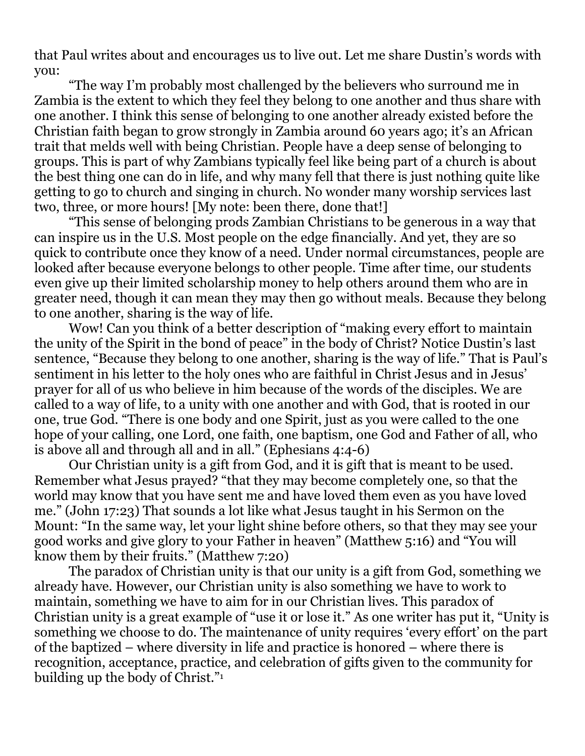that Paul writes about and encourages us to live out. Let me share Dustin's words with you:

 "The way I'm probably most challenged by the believers who surround me in Zambia is the extent to which they feel they belong to one another and thus share with one another. I think this sense of belonging to one another already existed before the Christian faith began to grow strongly in Zambia around 60 years ago; it's an African trait that melds well with being Christian. People have a deep sense of belonging to groups. This is part of why Zambians typically feel like being part of a church is about the best thing one can do in life, and why many fell that there is just nothing quite like getting to go to church and singing in church. No wonder many worship services last two, three, or more hours! [My note: been there, done that!]

 "This sense of belonging prods Zambian Christians to be generous in a way that can inspire us in the U.S. Most people on the edge financially. And yet, they are so quick to contribute once they know of a need. Under normal circumstances, people are looked after because everyone belongs to other people. Time after time, our students even give up their limited scholarship money to help others around them who are in greater need, though it can mean they may then go without meals. Because they belong to one another, sharing is the way of life.

 Wow! Can you think of a better description of "making every effort to maintain the unity of the Spirit in the bond of peace" in the body of Christ? Notice Dustin's last sentence, "Because they belong to one another, sharing is the way of life." That is Paul's sentiment in his letter to the holy ones who are faithful in Christ Jesus and in Jesus' prayer for all of us who believe in him because of the words of the disciples. We are called to a way of life, to a unity with one another and with God, that is rooted in our one, true God. "There is one body and one Spirit, just as you were called to the one hope of your calling, one Lord, one faith, one baptism, one God and Father of all, who is above all and through all and in all." (Ephesians 4:4-6)

 Our Christian unity is a gift from God, and it is gift that is meant to be used. Remember what Jesus prayed? "that they may become completely one, so that the world may know that you have sent me and have loved them even as you have loved me." (John 17:23) That sounds a lot like what Jesus taught in his Sermon on the Mount: "In the same way, let your light shine before others, so that they may see your good works and give glory to your Father in heaven" (Matthew 5:16) and "You will know them by their fruits." (Matthew 7:20)

 The paradox of Christian unity is that our unity is a gift from God, something we already have. However, our Christian unity is also something we have to work to maintain, something we have to aim for in our Christian lives. This paradox of Christian unity is a great example of "use it or lose it." As one writer has put it, "Unity is something we choose to do. The maintenance of unity requires 'every effort' on the part of the baptized – where diversity in life and practice is honored – where there is recognition, acceptance, practice, and celebration of gifts given to the community for building up the body of Christ."1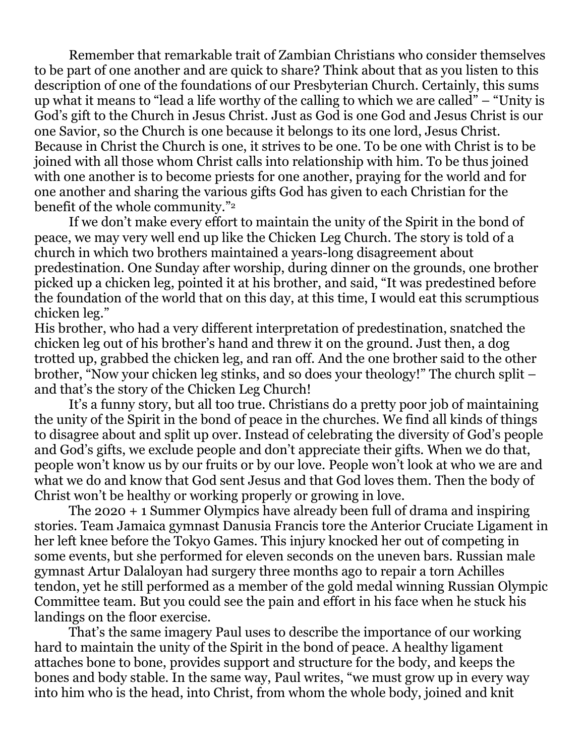Remember that remarkable trait of Zambian Christians who consider themselves to be part of one another and are quick to share? Think about that as you listen to this description of one of the foundations of our Presbyterian Church. Certainly, this sums up what it means to "lead a life worthy of the calling to which we are called" – "Unity is God's gift to the Church in Jesus Christ. Just as God is one God and Jesus Christ is our one Savior, so the Church is one because it belongs to its one lord, Jesus Christ. Because in Christ the Church is one, it strives to be one. To be one with Christ is to be joined with all those whom Christ calls into relationship with him. To be thus joined with one another is to become priests for one another, praying for the world and for one another and sharing the various gifts God has given to each Christian for the benefit of the whole community."<sup>2</sup>

 If we don't make every effort to maintain the unity of the Spirit in the bond of peace, we may very well end up like the Chicken Leg Church. The story is told of a church in which two brothers maintained a years-long disagreement about predestination. One Sunday after worship, during dinner on the grounds, one brother picked up a chicken leg, pointed it at his brother, and said, "It was predestined before the foundation of the world that on this day, at this time, I would eat this scrumptious chicken leg."

His brother, who had a very different interpretation of predestination, snatched the chicken leg out of his brother's hand and threw it on the ground. Just then, a dog trotted up, grabbed the chicken leg, and ran off. And the one brother said to the other brother, "Now your chicken leg stinks, and so does your theology!" The church split – and that's the story of the Chicken Leg Church!

 It's a funny story, but all too true. Christians do a pretty poor job of maintaining the unity of the Spirit in the bond of peace in the churches. We find all kinds of things to disagree about and split up over. Instead of celebrating the diversity of God's people and God's gifts, we exclude people and don't appreciate their gifts. When we do that, people won't know us by our fruits or by our love. People won't look at who we are and what we do and know that God sent Jesus and that God loves them. Then the body of Christ won't be healthy or working properly or growing in love.

 The 2020 + 1 Summer Olympics have already been full of drama and inspiring stories. Team Jamaica gymnast Danusia Francis tore the Anterior Cruciate Ligament in her left knee before the Tokyo Games. This injury knocked her out of competing in some events, but she performed for eleven seconds on the uneven bars. Russian male gymnast Artur Dalaloyan had surgery three months ago to repair a torn Achilles tendon, yet he still performed as a member of the gold medal winning Russian Olympic Committee team. But you could see the pain and effort in his face when he stuck his landings on the floor exercise.

 That's the same imagery Paul uses to describe the importance of our working hard to maintain the unity of the Spirit in the bond of peace. A healthy ligament attaches bone to bone, provides support and structure for the body, and keeps the bones and body stable. In the same way, Paul writes, "we must grow up in every way into him who is the head, into Christ, from whom the whole body, joined and knit